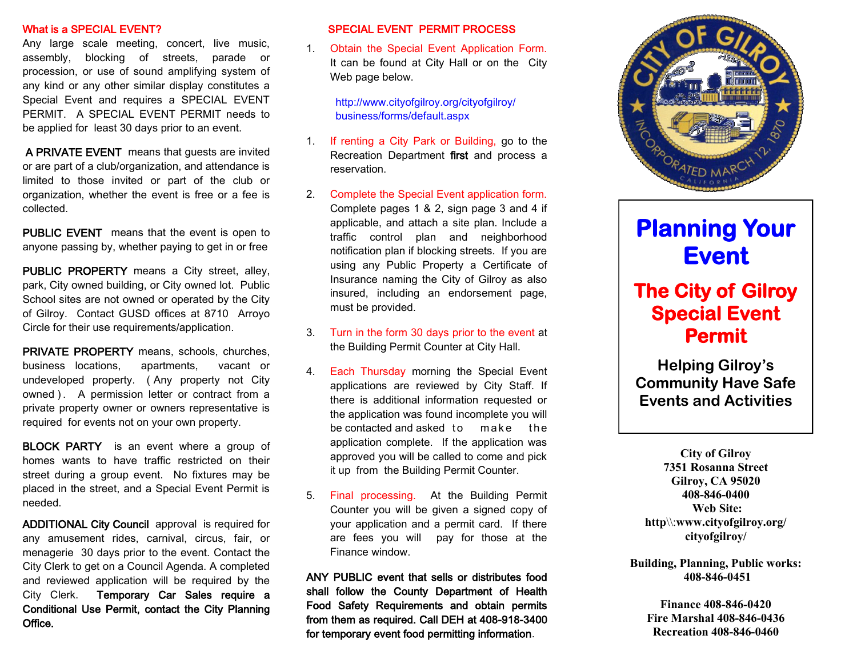#### What is a SPECIAL EVENT?

Any large scale meeting, concert, live music, assembly, blocking of streets, parade or procession, or use of sound amplifying system of any kind or any other similar display constitutes a Special Event and requires a SPECIAL EVENT PERMIT. A SPECIAL EVENT PERMIT needs to be applied for least 30 days prior to an event.

 A PRIVATE EVENT means that guests are invited or are part of a club/organization, and attendance is limited to those invited or part of the club or organization, whether the event is free or a fee is collected.

PUBLIC EVENT means that the event is open to anyone passing by, whether paying to get in or free

PUBLIC PROPERTY means a City street, alley, park, or City owned lot. Public School sites are not owned or operated by the City of Gilroy. Contact GUSD offices at 8710 Arroyo Circle for their use requirements/application.

PRIVATE PROPERTY means, schools, churches, business locations, apartments, vacant or undeveloped property. ( Any property not City owned ). A permission letter or contract from a private property owner or owners representative is required for events not on your own property.

**BLOCK PARTY** is an event where a group of homes wants to have traffic restricted on their street during a group event. No fixtures may be placed in the street, and a Special Event Permit is needed.

ADDITIONAL City Council approval is required for any amusement rides, carnival, circus, fair, or menagerie 30 days prior to the event. Contact the City Clerk to get on a Council Agenda. A completed and reviewed application will be required by the City Clerk. Temporary Car Sales require a Conditional Use Permit, contact the City Planning Office.

### SPECIAL EVENT PERMIT PROCESS

1. Obtain the Special Event Application Form. It can be found on the City Web page below.

> http://www.cityofgilroy.org/cityofgilroy/ business/forms/default.aspx

- 1. If renting a City Park, call the Recreation Department first and process a reservation.
- 2. Complete the Special Event application form. Complete pages 1 & 2, sign page 3 and 4 if applicable, and attach a site plan. Include a traffic control plan and neighborhood notification plan if blocking streets. If you are using any Public Property a Certificate of Insurance naming the City of Gilroy as also insured, including an endorsement page, must be provided.
- 3. Turn in the form 30 days prior to the event date to Christina.Ruiz@cityofgilroy.org.
- 4. Each Thursday morning the Special Event applications are reviewed by City Staff. If there is additional information requested or the application was found incomplete you will be contacted and asked  $to$  make the application complete. If the application was approved you will be contacted via email.
- 5. Final processing. If there are any fees due, call the Finance Department and/or or mail a check to: Attn: Business Licensing/ Special Event Permits 7351 Rosanna St Gilroy, CA 95020.

ANY PUBLIC event that sells or distributes food shall follow the County Department of Health Food Safety Requirements and obtain permits from them as required. Call DEH at 408-918-3400 for temporary event food permitting information.



# **Planning Your Event**

## **The City of Gilroy Special Event Permit**

**Helping Gilroy's Community Have Safe Events and Activities** 

**City of Gilroy 7351 Rosanna Street Gilroy, CA 95020 408-846-0400 Web Site: http**\\:**www.cityofgilroy.org/ cityofgilroy/**

**Building, Planning, Public works: 408-846-0451**

> **Finance 408-846-0420 Fire Marshal 408-846-0436 Recreation 408-846-0460**